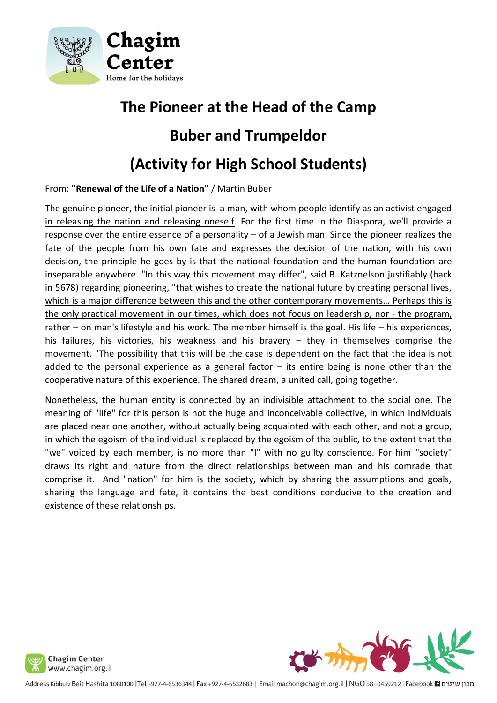

## **The Pioneer at the Head of the Camp Buber and Trumpeldor (Activity for High School Students)**

From: **"Renewal of the Life of a Nation"** / Martin Buber

The genuine pioneer, the initial pioneer is a man, with whom people identify as an activist engaged in releasing the nation and releasing oneself. For the first time in the Diaspora, we'll provide a response over the entire essence of a personality – of a Jewish man. Since the pioneer realizes the fate of the people from his own fate and expresses the decision of the nation, with his own decision, the principle he goes by is that the national foundation and the human foundation are inseparable anywhere. "In this way this movement may differ", said B. Katznelson justifiably (back in 5678) regarding pioneering, "that wishes to create the national future by creating personal lives, which is a major difference between this and the other contemporary movements... Perhaps this is the only practical movement in our times, which does not focus on leadership, nor - the program, rather – on man's lifestyle and his work. The member himself is the goal. His life – his experiences, his failures, his victories, his weakness and his bravery – they in themselves comprise the movement. "The possibility that this will be the case is dependent on the fact that the idea is not added to the personal experience as a general factor  $-$  its entire being is none other than the cooperative nature of this experience. The shared dream, a united call, going together.

Nonetheless, the human entity is connected by an indivisible attachment to the social one. The meaning of "life" for this person is not the huge and inconceivable collective, in which individuals are placed near one another, without actually being acquainted with each other, and not a group, in which the egoism of the individual is replaced by the egoism of the public, to the extent that the "we" voiced by each member, is no more than "I" with no guilty conscience. For him "society" draws its right and nature from the direct relationships between man and his comrade that comprise it. And "nation" for him is the society, which by sharing the assumptions and goals, sharing the language and fate, it contains the best conditions conducive to the creation and existence of these relationships.





Address Kibbutz Beit Hashita 1080100 |Tel +927-4-6536344 | Fax +927-4-6532683 | Email machon@chagim.org.il | NGO 58-0459212 | Facebook | נמבון שיטים Address Kibbutz Beit Hashita 1080100 | Tel +927-4-6532644 | Fax +927-4-6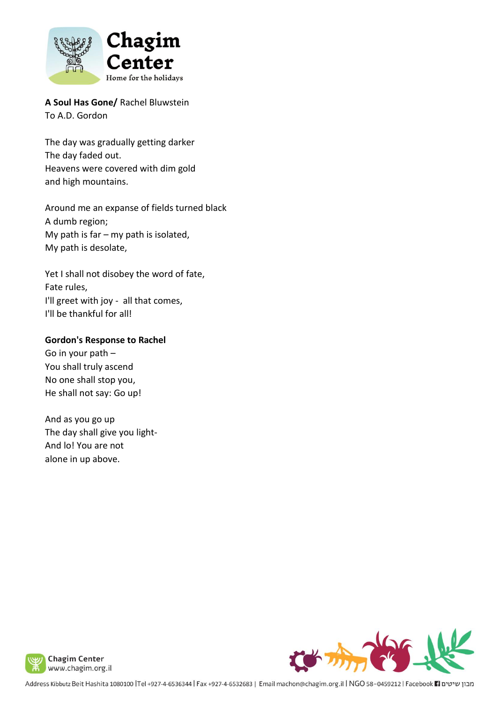

**A Soul Has Gone/** Rachel Bluwstein To A.D. Gordon

The day was gradually getting darker The day faded out. Heavens were covered with dim gold and high mountains.

Around me an expanse of fields turned black A dumb region; My path is far  $-$  my path is isolated, My path is desolate,

Yet I shall not disobey the word of fate, Fate rules, I'll greet with joy - all that comes, I'll be thankful for all!

## **Gordon's Response to Rachel**

Go in your path – You shall truly ascend No one shall stop you, He shall not say: Go up!

And as you go up The day shall give you light-And lo! You are not alone in up above.





Address Kibbutz Beit Hashita 1080100 |Tel +927-4-6536344 | Fax +927-4-6532683 | Email machon@chagim.org.il | NGO 58-0459212 | Facebook 1 מכון שיטים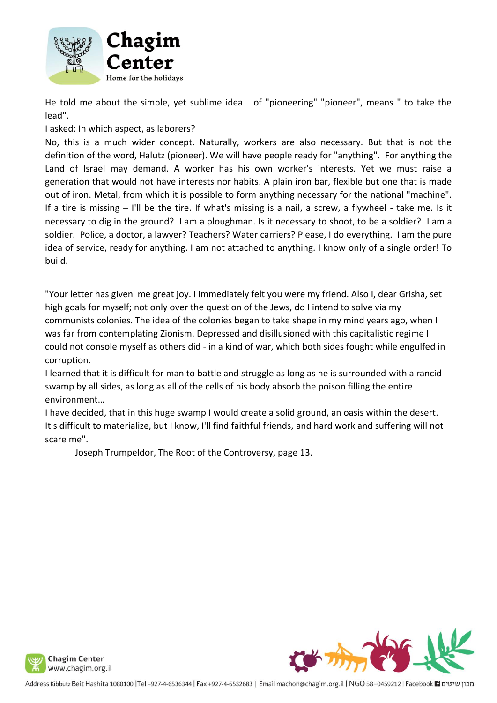

He told me about the simple, yet sublime idea of "pioneering" "pioneer", means " to take the lead".

## I asked: In which aspect, as laborers?

No, this is a much wider concept. Naturally, workers are also necessary. But that is not the definition of the word, Halutz (pioneer). We will have people ready for "anything". For anything the Land of Israel may demand. A worker has his own worker's interests. Yet we must raise a generation that would not have interests nor habits. A plain iron bar, flexible but one that is made out of iron. Metal, from which it is possible to form anything necessary for the national "machine". If a tire is missing – I'll be the tire. If what's missing is a nail, a screw, a flywheel - take me. Is it necessary to dig in the ground? I am a ploughman. Is it necessary to shoot, to be a soldier? I am a soldier. Police, a doctor, a lawyer? Teachers? Water carriers? Please, I do everything. I am the pure idea of service, ready for anything. I am not attached to anything. I know only of a single order! To build.

"Your letter has given me great joy. I immediately felt you were my friend. Also I, dear Grisha, set high goals for myself; not only over the question of the Jews, do I intend to solve via my communists colonies. The idea of the colonies began to take shape in my mind years ago, when I was far from contemplating Zionism. Depressed and disillusioned with this capitalistic regime I could not console myself as others did - in a kind of war, which both sides fought while engulfed in corruption.

I learned that it is difficult for man to battle and struggle as long as he is surrounded with a rancid swamp by all sides, as long as all of the cells of his body absorb the poison filling the entire environment…

I have decided, that in this huge swamp I would create a solid ground, an oasis within the desert. It's difficult to materialize, but I know, I'll find faithful friends, and hard work and suffering will not scare me".

Joseph Trumpeldor, The Root of the Controversy, page 13.



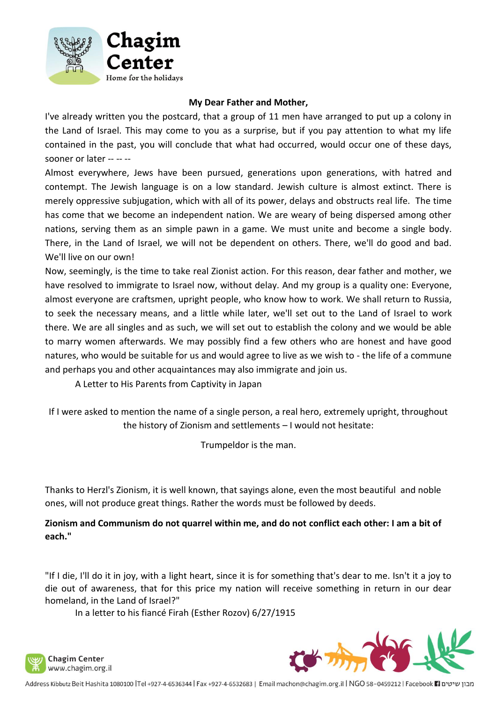

## **My Dear Father and Mother,**

I've already written you the postcard, that a group of 11 men have arranged to put up a colony in the Land of Israel. This may come to you as a surprise, but if you pay attention to what my life contained in the past, you will conclude that what had occurred, would occur one of these days, sooner or later -- -- --

Almost everywhere, Jews have been pursued, generations upon generations, with hatred and contempt. The Jewish language is on a low standard. Jewish culture is almost extinct. There is merely oppressive subjugation, which with all of its power, delays and obstructs real life. The time has come that we become an independent nation. We are weary of being dispersed among other nations, serving them as an simple pawn in a game. We must unite and become a single body. There, in the Land of Israel, we will not be dependent on others. There, we'll do good and bad. We'll live on our own!

Now, seemingly, is the time to take real Zionist action. For this reason, dear father and mother, we have resolved to immigrate to Israel now, without delay. And my group is a quality one: Everyone, almost everyone are craftsmen, upright people, who know how to work. We shall return to Russia, to seek the necessary means, and a little while later, we'll set out to the Land of Israel to work there. We are all singles and as such, we will set out to establish the colony and we would be able to marry women afterwards. We may possibly find a few others who are honest and have good natures, who would be suitable for us and would agree to live as we wish to - the life of a commune and perhaps you and other acquaintances may also immigrate and join us.

A Letter to His Parents from Captivity in Japan

If I were asked to mention the name of a single person, a real hero, extremely upright, throughout the history of Zionism and settlements – I would not hesitate:

Trumpeldor is the man.

Thanks to Herzl's Zionism, it is well known, that sayings alone, even the most beautiful and noble ones, will not produce great things. Rather the words must be followed by deeds.

**Zionism and Communism do not quarrel within me, and do not conflict each other: I am a bit of each."**

"If I die, I'll do it in joy, with a light heart, since it is for something that's dear to me. Isn't it a joy to die out of awareness, that for this price my nation will receive something in return in our dear homeland, in the Land of Israel?"

In a letter to his fiancé Firah (Esther Rozov) 6/27/1915





מבון שיטים Facebook 11 927-045383 | Email machon@chagim.org.il | NGO 58-0459212 | Facebook 11 מבון שיטים Address Kibbutz Beit Hashita 1080100 | Tel +927-4-6536344 | Fax +927-4-6532683 | Email machon@chagim.org.il | NGO 5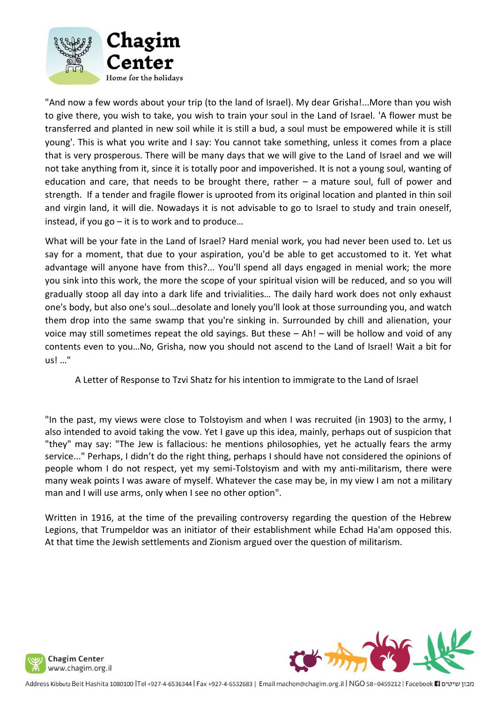

"And now a few words about your trip (to the land of Israel). My dear Grisha!...More than you wish to give there, you wish to take, you wish to train your soul in the Land of Israel. 'A flower must be transferred and planted in new soil while it is still a bud, a soul must be empowered while it is still young'. This is what you write and I say: You cannot take something, unless it comes from a place that is very prosperous. There will be many days that we will give to the Land of Israel and we will not take anything from it, since it is totally poor and impoverished. It is not a young soul, wanting of education and care, that needs to be brought there, rather  $-$  a mature soul, full of power and strength. If a tender and fragile flower is uprooted from its original location and planted in thin soil and virgin land, it will die. Nowadays it is not advisable to go to Israel to study and train oneself, instead, if you go – it is to work and to produce…

What will be your fate in the Land of Israel? Hard menial work, you had never been used to. Let us say for a moment, that due to your aspiration, you'd be able to get accustomed to it. Yet what advantage will anyone have from this?... You'll spend all days engaged in menial work; the more you sink into this work, the more the scope of your spiritual vision will be reduced, and so you will gradually stoop all day into a dark life and trivialities… The daily hard work does not only exhaust one's body, but also one's soul…desolate and lonely you'll look at those surrounding you, and watch them drop into the same swamp that you're sinking in. Surrounded by chill and alienation, your voice may still sometimes repeat the old sayings. But these – Ah! – will be hollow and void of any contents even to you…No, Grisha, now you should not ascend to the Land of Israel! Wait a bit for us! …"

A Letter of Response to Tzvi Shatz for his intention to immigrate to the Land of Israel

"In the past, my views were close to Tolstoyism and when I was recruited (in 1903) to the army, I also intended to avoid taking the vow. Yet I gave up this idea, mainly, perhaps out of suspicion that "they" may say: "The Jew is fallacious: he mentions philosophies, yet he actually fears the army service..." Perhaps, I didn't do the right thing, perhaps I should have not considered the opinions of people whom I do not respect, yet my semi-Tolstoyism and with my anti-militarism, there were many weak points I was aware of myself. Whatever the case may be, in my view I am not a military man and I will use arms, only when I see no other option".

Written in 1916, at the time of the prevailing controversy regarding the question of the Hebrew Legions, that Trumpeldor was an initiator of their establishment while Echad Ha'am opposed this. At that time the Jewish settlements and Zionism argued over the question of militarism.